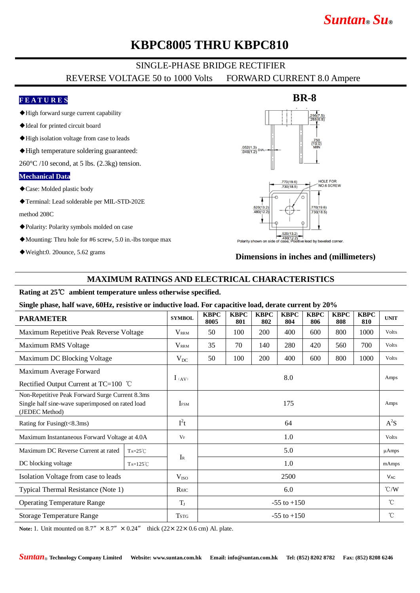# *Suntan***®** *Su***®**

## **KBPC8005 THRU KBPC810**

## SINGLE-PHASE BRIDGE RECTIFIER

REVERSE VOLTAGE 50 to 1000 Volts FORWARD CURRENT 8.0 Ampere

#### **F E A T U R E S**

- ◆High forward surge current capability
- ◆Ideal for printed circuit board
- ◆High isolation voltage from case to leads
- ◆High temperature soldering guaranteed:

 $260^{\circ}$ C /10 second, at 5 lbs. (2.3kg) tension.

#### **Mechanical Data**

- ◆Case: Molded plastic body
- ◆Terminal: Lead solderable per MIL-STD-202E

method 208C

- ◆Polarity: Polarity symbols molded on case
- ◆Mounting: Thru hole for #6 screw, 5.0 in.-lbs torque max
- ◆Weight:0. 20ounce, 5.62 grams

# **BR-8**  $\frac{.052(1.3)}{.048(1.2)}$ DIA  $\frac{770(19.6)}{730(18.5)}$ HOLE FOR<br>NO.6 SCREW .<br>770(19.6)<br>730(18.5) 520(13.2)  $.480(12.3)$ Polarity shown on si ead by beveled corner

**Dimensions in inches and (millimeters)**

#### **MAXIMUM RATINGS AND ELECTRICAL CHARACTERISTICS**

#### **Rating at 25**℃ **ambient temperature unless otherwise specified.**

**Single phase, half wave, 60Hz, resistive or inductive load. For capacitive load, derate current by 20%**

| <b>PARAMETER</b>                                                                                                      |                   | <b>SYMBOL</b>    | <b>KBPC</b><br>8005 | <b>KBPC</b><br>801 | <b>KBPC</b><br>802 | <b>KBPC</b><br>804 | <b>KBPC</b><br>806 | <b>KBPC</b><br>808 | <b>KBPC</b><br>810 | <b>UNIT</b>     |
|-----------------------------------------------------------------------------------------------------------------------|-------------------|------------------|---------------------|--------------------|--------------------|--------------------|--------------------|--------------------|--------------------|-----------------|
| Maximum Repetitive Peak Reverse Voltage                                                                               |                   | <b>VRRM</b>      | 50                  | 100                | 200                | 400                | 600                | 800                | 1000               | Volts           |
| Maximum RMS Voltage                                                                                                   |                   | <b>VRRM</b>      | 35                  | 70                 | 140                | 280                | 420                | 560                | 700                | Volts           |
| Maximum DC Blocking Voltage                                                                                           |                   | $V_{DC}$         | 50                  | 100                | 200                | 400                | 600                | 800                | 1000               | Volts           |
| Maximum Average Forward                                                                                               |                   | $l_{(AV)}$       | 8.0                 |                    |                    |                    |                    |                    |                    | Amps            |
| Rectified Output Current at TC=100 °C                                                                                 |                   |                  |                     |                    |                    |                    |                    |                    |                    |                 |
| Non-Repetitive Peak Forward Surge Current 8.3ms<br>Single half sine-wave superimposed on rated load<br>(JEDEC Method) |                   | <b>IFSM</b>      | 175                 |                    |                    |                    |                    |                    |                    | Amps            |
| Rating for Fusing(t<8.3ms)                                                                                            |                   | $I^2t$           | 64                  |                    |                    |                    |                    |                    |                    | $A^2S$          |
| Maximum Instantaneous Forward Voltage at 4.0A                                                                         |                   | $V_F$            | 1.0                 |                    |                    |                    |                    |                    |                    | Volts           |
| Maximum DC Reverse Current at rated                                                                                   | $Ta=25^{\circ}C$  |                  | 5.0                 |                    |                    |                    |                    |                    |                    | $\mu$ Amps      |
| DC blocking voltage                                                                                                   | $Ta=125^{\circ}C$ | $I_{R}$          | 1.0                 |                    |                    |                    |                    |                    |                    | mAmps           |
| Isolation Voltage from case to leads                                                                                  |                   | V <sub>ISO</sub> | 2500                |                    |                    |                    |                    |                    |                    | $V_{AC}$        |
| Typical Thermal Resistance (Note 1)                                                                                   |                   | $R$ $\theta$ JC  | 6.0                 |                    |                    |                    |                    |                    |                    | $\mathcal{C}/W$ |
| <b>Operating Temperature Range</b>                                                                                    |                   | $T_{J}$          | $-55$ to $+150$     |                    |                    |                    |                    |                    |                    | °C              |
| <b>Storage Temperature Range</b>                                                                                      |                   | <b>TSTG</b>      | $-55$ to $+150$     |                    |                    |                    |                    |                    |                    | $^{\circ}$ C    |

**Note:** 1. Unit mounted on  $8.7'' \times 8.7'' \times 0.24''$  thick  $(22 \times 22 \times 0.6 \text{ cm})$  Al. plate.

*Suntan*® **Technology Company Limited Website: www.suntan.com.hk Email: info@suntan.com.hk Tel: (852) 8202 8782 Fax: (852) 8208 6246**